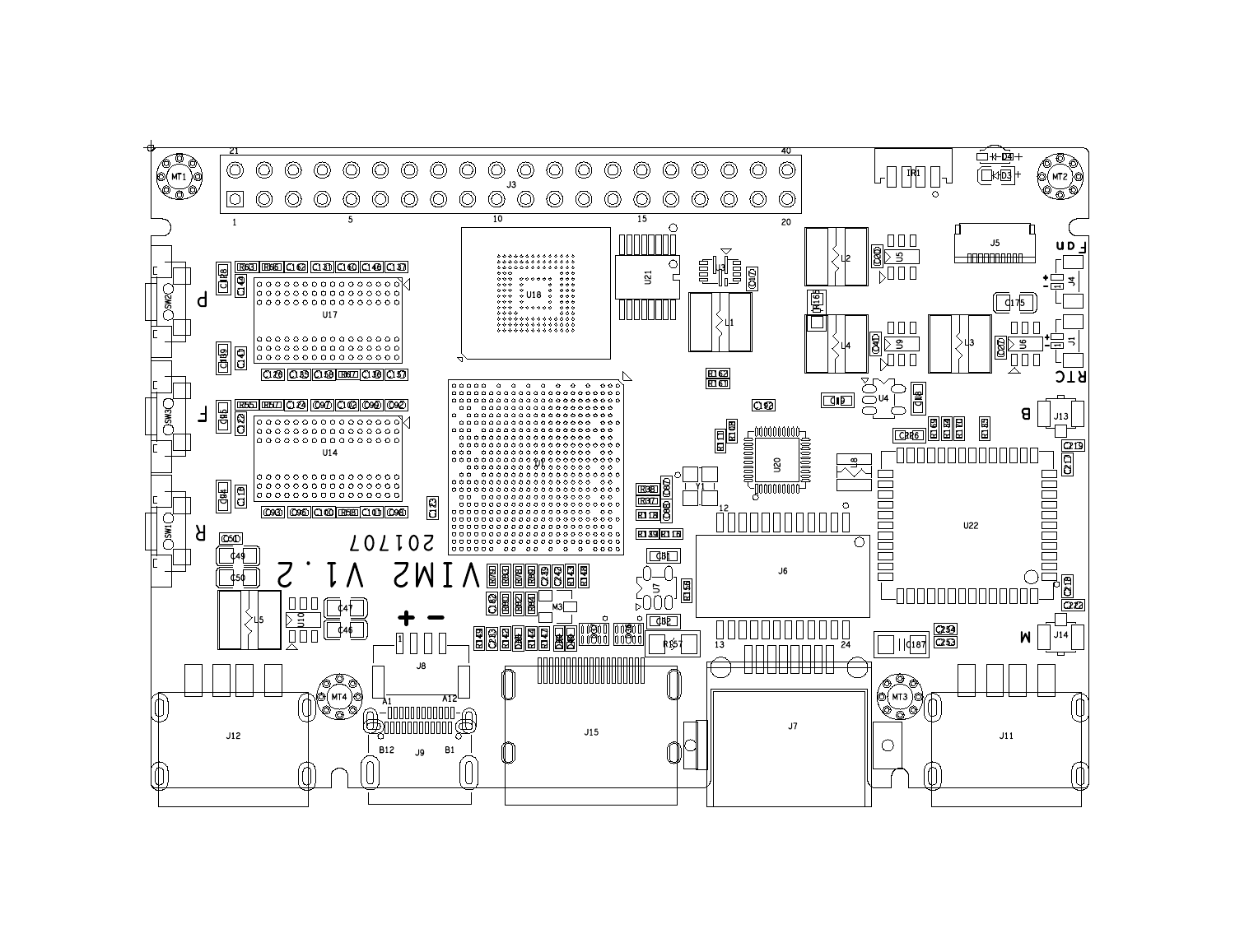